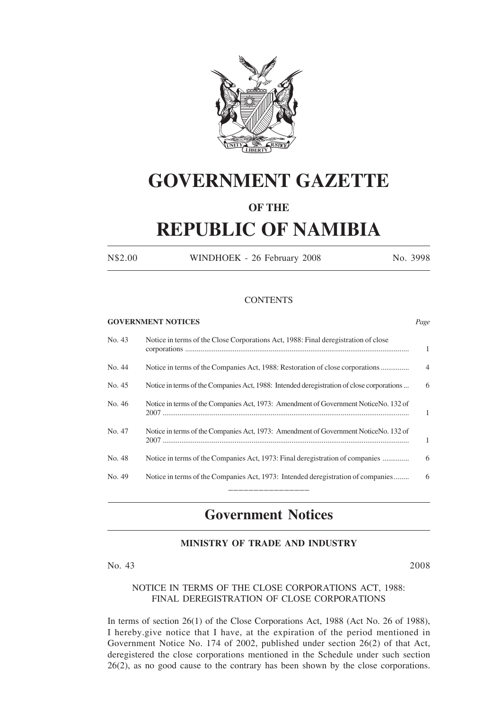

# **GOVERNMENT GAZETTE**

## **OF THE**

# **REPUBLIC OF NAMIBIA**

N\$2.00 WINDHOEK - 26 February 2008 No. 3998

### **CONTENTS**

### **GOVERNMENT NOTICES** *Page*

| No. 43 | Notice in terms of the Close Corporations Act, 1988: Final deregistration of close        | 1              |
|--------|-------------------------------------------------------------------------------------------|----------------|
| No. 44 |                                                                                           | $\overline{4}$ |
| No. 45 | Notice in terms of the Companies Act, 1988: Intended deregistration of close corporations | 6              |
| No. 46 | Notice in terms of the Companies Act, 1973: Amendment of Government NoticeNo. 132 of      | 1              |
| No. 47 | Notice in terms of the Companies Act, 1973: Amendment of Government NoticeNo. 132 of      | $\mathbf{1}$   |
| No. 48 | Notice in terms of the Companies Act, 1973: Final deregistration of companies             | 6              |
| No. 49 | Notice in terms of the Companies Act, 1973: Intended deregistration of companies          | 6              |
|        |                                                                                           |                |

## **Government Notices**

### **MINISTRY OF TRADE AND INDUSTRY**

No. 43 2008

### NOTICE IN TERMS OF THE CLOSE CORPORATIONS ACT, 1988: FINAL DEREGISTRATION OF CLOSE CORPORATIONS

In terms of section 26(1) of the Close Corporations Act, 1988 (Act No. 26 of 1988), I hereby.give notice that I have, at the expiration of the period mentioned in Government Notice No. 174 of 2002, published under section 26(2) of that Act, deregistered the close corporations mentioned in the Schedule under such section 26(2), as no good cause to the contrary has been shown by the close corporations.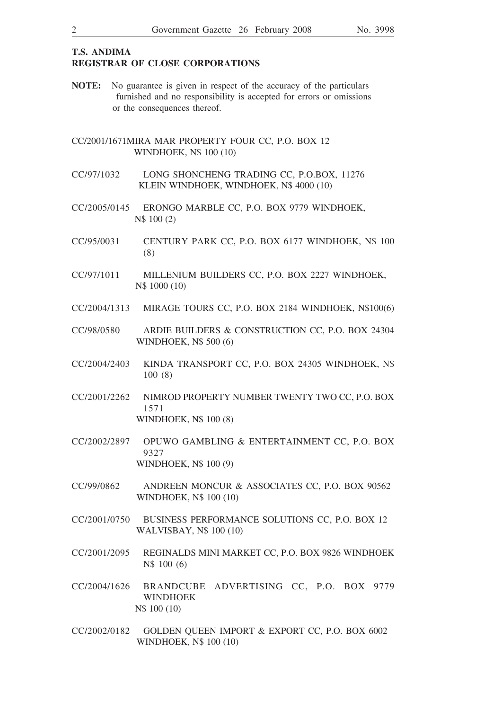### **T.S. ANDIMA REGISTRAR OF CLOSE CORPORATIONS**

- **NOTE:** No guarantee is given in respect of the accuracy of the particulars furnished and no responsibility is accepted for errors or omissions or the consequences thereof.
- CC/2001/1671MIRA MAR PROPERTY FOUR CC, P.O. BOX 12 WINDHOEK, N\$ 100 (10)
- CC/97/1032 LONG SHONCHENG TRADING CC, P.O.BOX, 11276 KLEIN WINDHOEK, WINDHOEK, N\$ 4000 (10)
- CC/2005/0145 ERONGO MARBLE CC, P.O. BOX 9779 WINDHOEK, N\$ 100 (2)
- CC/95/0031 CENTURY PARK CC, P.O. BOX 6177 WINDHOEK, N\$ 100 (8)
- CC/97/1011 MILLENIUM BUILDERS CC, P.O. BOX 2227 WINDHOEK, N\$ 1000 (10)
- CC/2004/1313 MIRAGE TOURS CC, P.O. BOX 2184 WINDHOEK, N\$100(6)
- CC/98/0580 ARDIE BUILDERS & CONSTRUCTION CC, P.O. BOX 24304 WINDHOEK, N\$ 500 (6)
- CC/2004/2403 KINDA TRANSPORT CC, P.O. BOX 24305 WINDHOEK, N\$ 100 (8)
- CC/2001/2262 NIMROD PROPERTY NUMBER TWENTY TWO CC, P.O. BOX 1571 WINDHOEK, N\$ 100 (8)
- CC/2002/2897 OPUWO GAMBLING & ENTERTAINMENT CC, P.O. BOX 9327 WINDHOEK, N\$ 100 (9)
- CC/99/0862 ANDREEN MONCUR & ASSOCIATES CC, P.O. BOX 90562 WINDHOEK, N\$ 100 (10)
- CC/2001/0750 BUSINESS PERFORMANCE SOLUTIONS CC, P.O. BOX 12 WALVISBAY, N\$ 100 (10)
- CC/2001/2095 REGINALDS MINI MARKET CC, P.O. BOX 9826 WINDHOEK N\$ 100 (6)
- CC/2004/1626 BRANDCUBE ADVERTISING CC, P.O. BOX 9779 WINDHOEK N\$ 100 (10)
- CC/2002/0182 GOLDEN QUEEN IMPORT & EXPORT CC, P.O. BOX 6002 WINDHOEK, N\$ 100 (10)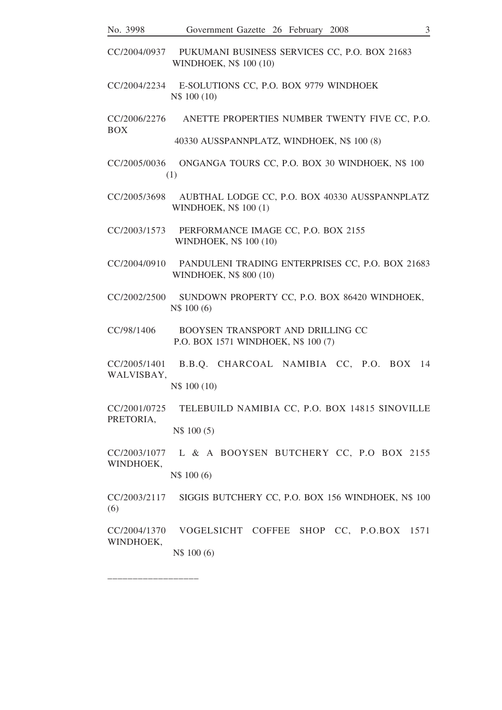- CC/2004/0937 PUKUMANI BUSINESS SERVICES CC, P.O. BOX 21683 WINDHOEK, N\$ 100 (10)
- CC/2004/2234 E-SOLUTIONS CC, P.O. BOX 9779 WINDHOEK N\$ 100 (10)

CC/2006/2276 ANETTE PROPERTIES NUMBER TWENTY FIVE CC, P.O. BOX

40330 AUSSPANNPLATZ, WINDHOEK, N\$ 100 (8)

- CC/2005/0036 ONGANGA TOURS CC, P.O. BOX 30 WINDHOEK, N\$ 100 (1)
- CC/2005/3698 AUBTHAL LODGE CC, P.O. BOX 40330 AUSSPANNPLATZ WINDHOEK, N\$ 100 (1)
- CC/2003/1573 PERFORMANCE IMAGE CC, P.O. BOX 2155 WINDHOEK, N\$ 100 (10)
- CC/2004/0910 PANDULENI TRADING ENTERPRISES CC, P.O. BOX 21683 WINDHOEK, N\$ 800 (10)
- CC/2002/2500 SUNDOWN PROPERTY CC, P.O. BOX 86420 WINDHOEK, N\$ 100 (6)
- CC/98/1406 BOOYSEN TRANSPORT AND DRILLING CC P.O. BOX 1571 WINDHOEK, N\$ 100 (7)
- CC/2005/1401 B.B.Q. CHARCOAL NAMIBIA CC, P.O. BOX 14 WALVISBAY,

N\$ 100 (10)

CC/2001/0725 TELEBUILD NAMIBIA CC, P.O. BOX 14815 SINOVILLE PRETORIA,

N\$ 100 (5)

CC/2003/1077 L & A BOOYSEN BUTCHERY CC, P.O BOX 2155 WINDHOEK,

N\$ 100 (6)

CC/2003/2117 SIGGIS BUTCHERY CC, P.O. BOX 156 WINDHOEK, N\$ 100 (6)

CC/2004/1370 VOGELSICHT COFFEE SHOP CC, P.O.BOX 1571 WINDHOEK,

N\$ 100 (6)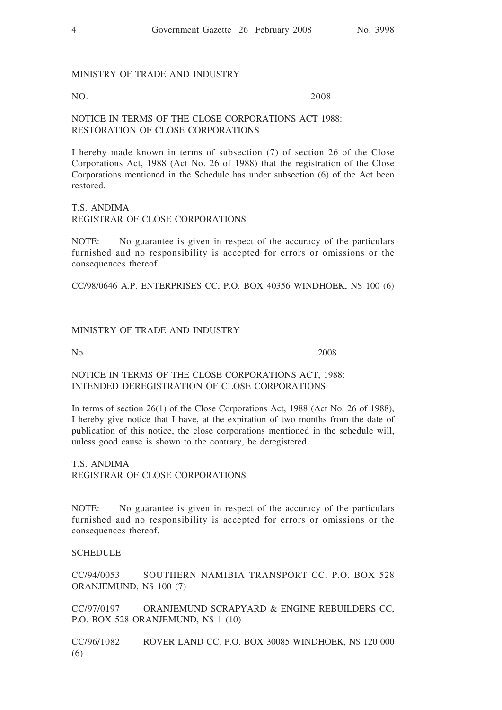### MINISTRY OF TRADE AND INDUSTRY

NO. 2008

### NOTICE IN TERMS OF THE CLOSE CORPORATIONS ACT 1988: RESTORATION OF CLOSE CORPORATIONS

I hereby made known in terms of subsection (7) of section 26 of the Close Corporations Act, 1988 (Act No. 26 of 1988) that the registration of the Close Corporations mentioned in the Schedule has under subsection (6) of the Act been restored.

### T.S. ANDIMA REGISTRAR OF CLOSE CORPORATIONS

NOTE: No guarantee is given in respect of the accuracy of the particulars furnished and no responsibility is accepted for errors or omissions or the consequences thereof.

CC/98/0646 A.P. ENTERPRISES CC, P.O. BOX 40356 WINDHOEK, N\$ 100 (6)

### MINISTRY OF TRADE AND INDUSTRY

No. 2008

### NOTICE IN TERMS OF THE CLOSE CORPORATIONS ACT, 1988: INTENDED DEREGISTRATION OF CLOSE CORPORATIONS

In terms of section 26(1) of the Close Corporations Act, 1988 (Act No. 26 of 1988), I hereby give notice that I have, at the expiration of two months from the date of publication of this notice, the close corporations mentioned in the schedule will, unless good cause is shown to the contrary, be deregistered.

T.S. ANDIMA REGISTRAR OF CLOSE CORPORATIONS

NOTE: No guarantee is given in respect of the accuracy of the particulars furnished and no responsibility is accepted for errors or omissions or the consequences thereof.

### **SCHEDULE**

CC/94/0053 SOUTHERN NAMIBIA TRANSPORT CC, P.O. BOX 528 ORANJEMUND, N\$ 100 (7)

CC/97/0197 ORANJEMUND SCRAPYARD & ENGINE REBUILDERS CC, P.O. BOX 528 ORANJEMUND, N\$ 1 (10)

CC/96/1082 ROVER LAND CC, P.O. BOX 30085 WINDHOEK, N\$ 120 000 (6)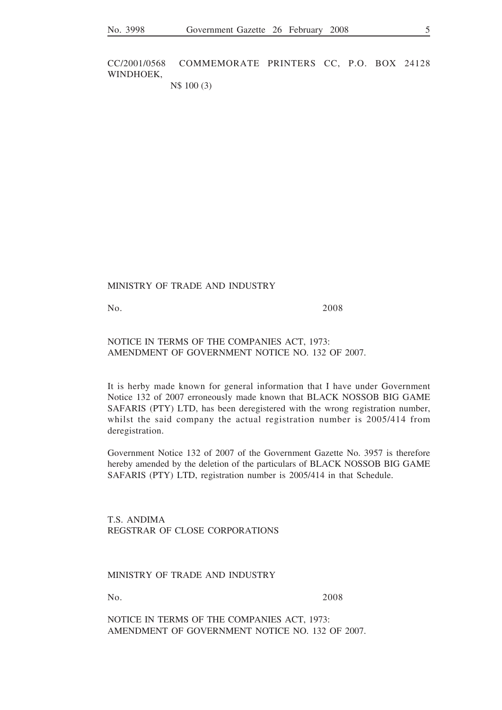CC/2001/0568 COMMEMORATE PRINTERS CC, P.O. BOX 24128 WINDHOEK,

N\$ 100 (3)

MINISTRY OF TRADE AND INDUSTRY

No. 2008

NOTICE IN TERMS OF THE COMPANIES ACT, 1973: AMENDMENT OF GOVERNMENT NOTICE NO. 132 OF 2007.

It is herby made known for general information that I have under Government Notice 132 of 2007 erroneously made known that BLACK NOSSOB BIG GAME SAFARIS (PTY) LTD, has been deregistered with the wrong registration number, whilst the said company the actual registration number is 2005/414 from deregistration.

Government Notice 132 of 2007 of the Government Gazette No. 3957 is therefore hereby amended by the deletion of the particulars of BLACK NOSSOB BIG GAME SAFARIS (PTY) LTD, registration number is 2005/414 in that Schedule.

T.S. ANDIMA REGSTRAR OF CLOSE CORPORATIONS

MINISTRY OF TRADE AND INDUSTRY

No. 2008

NOTICE IN TERMS OF THE COMPANIES ACT, 1973: AMENDMENT OF GOVERNMENT NOTICE NO. 132 OF 2007.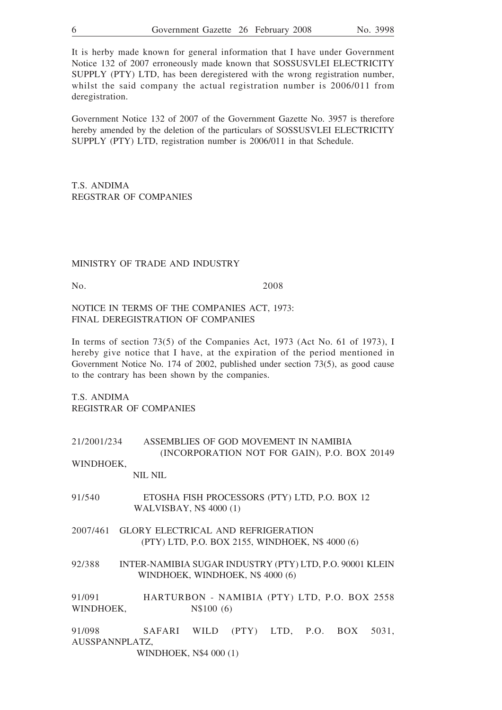It is herby made known for general information that I have under Government Notice 132 of 2007 erroneously made known that SOSSUSVLEI ELECTRICITY SUPPLY (PTY) LTD, has been deregistered with the wrong registration number, whilst the said company the actual registration number is 2006/011 from deregistration.

Government Notice 132 of 2007 of the Government Gazette No. 3957 is therefore hereby amended by the deletion of the particulars of SOSSUSVLEI ELECTRICITY SUPPLY (PTY) LTD, registration number is 2006/011 in that Schedule.

T.S. ANDIMA REGSTRAR OF COMPANIES

### MINISTRY OF TRADE AND INDUSTRY

No. 2008

NOTICE IN TERMS OF THE COMPANIES ACT, 1973: FINAL DEREGISTRATION OF COMPANIES

In terms of section 73(5) of the Companies Act, 1973 (Act No. 61 of 1973), I hereby give notice that I have, at the expiration of the period mentioned in Government Notice No. 174 of 2002, published under section 73(5), as good cause to the contrary has been shown by the companies.

T.S. ANDIMA REGISTRAR OF COMPANIES

| 21/2001/234 | ASSEMBLIES OF GOD MOVEMENT IN NAMIBIA        |
|-------------|----------------------------------------------|
|             | (INCORPORATION NOT FOR GAIN), P.O. BOX 20149 |

WINDHOEK,

NIL NIL

- 91/540 ETOSHA FISH PROCESSORS (PTY) LTD, P.O. BOX 12 WALVISBAY, N\$ 4000 (1)
- 2007/461 GLORY ELECTRICAL AND REFRIGERATION (PTY) LTD, P.O. BOX 2155, WINDHOEK, N\$ 4000 (6)
- 92/388 INTER-NAMIBIA SUGAR INDUSTRY (PTY) LTD, P.O. 90001 KLEIN WINDHOEK, WINDHOEK, N\$ 4000 (6)

91/091 HARTURBON - NAMIBIA (PTY) LTD, P.O. BOX 2558 WINDHOEK, N\$100 (6)

91/098 SAFARI WILD (PTY) LTD, P.O. BOX 5031, AUSSPANNPLATZ,

WINDHOEK, N\$4 000 (1)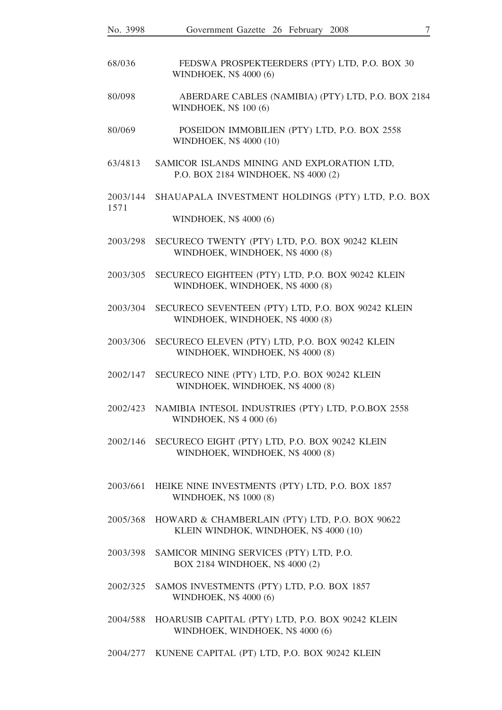| No. 3998         | Government Gazette 26 February<br>7<br>2008                                              |
|------------------|------------------------------------------------------------------------------------------|
| 68/036           | FEDSWA PROSPEKTEERDERS (PTY) LTD, P.O. BOX 30<br>WINDHOEK, N\$ 4000 (6)                  |
| 80/098           | ABERDARE CABLES (NAMIBIA) (PTY) LTD, P.O. BOX 2184<br>WINDHOEK, N\$ 100 (6)              |
| 80/069           | POSEIDON IMMOBILIEN (PTY) LTD, P.O. BOX 2558<br>WINDHOEK, N\$ 4000 (10)                  |
| 63/4813          | SAMICOR ISLANDS MINING AND EXPLORATION LTD,<br>P.O. BOX 2184 WINDHOEK, N\$ 4000 (2)      |
| 2003/144<br>1571 | SHAUAPALA INVESTMENT HOLDINGS (PTY) LTD, P.O. BOX                                        |
|                  | WINDHOEK, N\$ 4000 (6)                                                                   |
| 2003/298         | SECURECO TWENTY (PTY) LTD, P.O. BOX 90242 KLEIN<br>WINDHOEK, WINDHOEK, N\$ 4000 (8)      |
| 2003/305         | SECURECO EIGHTEEN (PTY) LTD, P.O. BOX 90242 KLEIN<br>WINDHOEK, WINDHOEK, N\$ 4000 (8)    |
| 2003/304         | SECURECO SEVENTEEN (PTY) LTD, P.O. BOX 90242 KLEIN<br>WINDHOEK, WINDHOEK, N\$4000 (8)    |
| 2003/306         | SECURECO ELEVEN (PTY) LTD, P.O. BOX 90242 KLEIN<br>WINDHOEK, WINDHOEK, N\$ 4000 (8)      |
| 2002/147         | SECURECO NINE (PTY) LTD, P.O. BOX 90242 KLEIN<br>WINDHOEK, WINDHOEK, N\$ 4000 (8)        |
| 2002/423         | NAMIBIA INTESOL INDUSTRIES (PTY) LTD, P.O.BOX 2558<br>WINDHOEK, N\$ 4 000 (6)            |
| 2002/146         | SECURECO EIGHT (PTY) LTD, P.O. BOX 90242 KLEIN<br>WINDHOEK, WINDHOEK, N\$ 4000 (8)       |
| 2003/661         | HEIKE NINE INVESTMENTS (PTY) LTD, P.O. BOX 1857<br>WINDHOEK, N\$ 1000 (8)                |
| 2005/368         | HOWARD & CHAMBERLAIN (PTY) LTD, P.O. BOX 90622<br>KLEIN WINDHOK, WINDHOEK, N\$ 4000 (10) |
| 2003/398         | SAMICOR MINING SERVICES (PTY) LTD, P.O.<br>BOX 2184 WINDHOEK, N\$ 4000 (2)               |
| 2002/325         | SAMOS INVESTMENTS (PTY) LTD, P.O. BOX 1857<br>WINDHOEK, N\$ 4000 (6)                     |
| 2004/588         | HOARUSIB CAPITAL (PTY) LTD, P.O. BOX 90242 KLEIN<br>WINDHOEK, WINDHOEK, N\$ 4000 (6)     |
| 2004/277         | KUNENE CAPITAL (PT) LTD, P.O. BOX 90242 KLEIN                                            |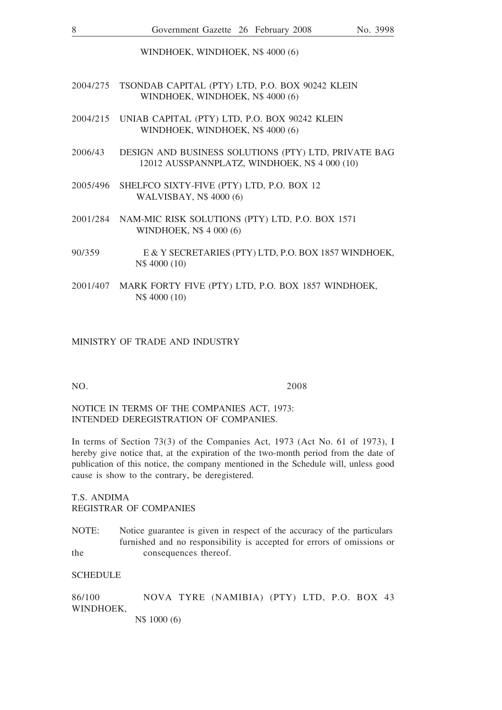WINDHOEK, WINDHOEK, N\$ 4000 (6)

- 2004/275 TSONDAB CAPITAL (PTY) LTD, P.O. BOX 90242 KLEIN WINDHOEK, WINDHOEK, N\$ 4000 (6)
- 2004/215 UNIAB CAPITAL (PTY) LTD, P.O. BOX 90242 KLEIN WINDHOEK, WINDHOEK, N\$ 4000 (6)
- 2006/43 DESIGN AND BUSINESS SOLUTIONS (PTY) LTD, PRIVATE BAG 12012 AUSSPANNPLATZ, WINDHOEK, N\$ 4 000 (10)
- 2005/496 SHELFCO SIXTY-FIVE (PTY) LTD, P.O. BOX 12 WALVISBAY, N\$ 4000 (6)
- 2001/284 NAM-MIC RISK SOLUTIONS (PTY) LTD, P.O. BOX 1571 WINDHOEK, N\$ 4 000 (6)
- 90/359 E & Y SECRETARIES (PTY) LTD, P.O. BOX 1857 WINDHOEK, N\$ 4000 (10)
- 2001/407 MARK FORTY FIVE (PTY) LTD, P.O. BOX 1857 WINDHOEK, N\$ 4000 (10)

### MINISTRY OF TRADE AND INDUSTRY

NO. 2008

### NOTICE IN TERMS OF THE COMPANIES ACT, 1973: INTENDED DEREGISTRATION OF COMPANIES.

In terms of Section 73(3) of the Companies Act, 1973 (Act No. 61 of 1973), I hereby give notice that, at the expiration of the two-month period from the date of publication of this notice, the company mentioned in the Schedule will, unless good cause is show to the contrary, be deregistered.

T.S. ANDIMA REGISTRAR OF COMPANIES

NOTE: Notice guarantee is given in respect of the accuracy of the particulars furnished and no responsibility is accepted for errors of omissions or the consequences thereof.

**SCHEDULE** 

86/100 NOVA TYRE (NAMIBIA) (PTY) LTD, P.O. BOX 43 WINDHOEK, N\$ 1000 (6)